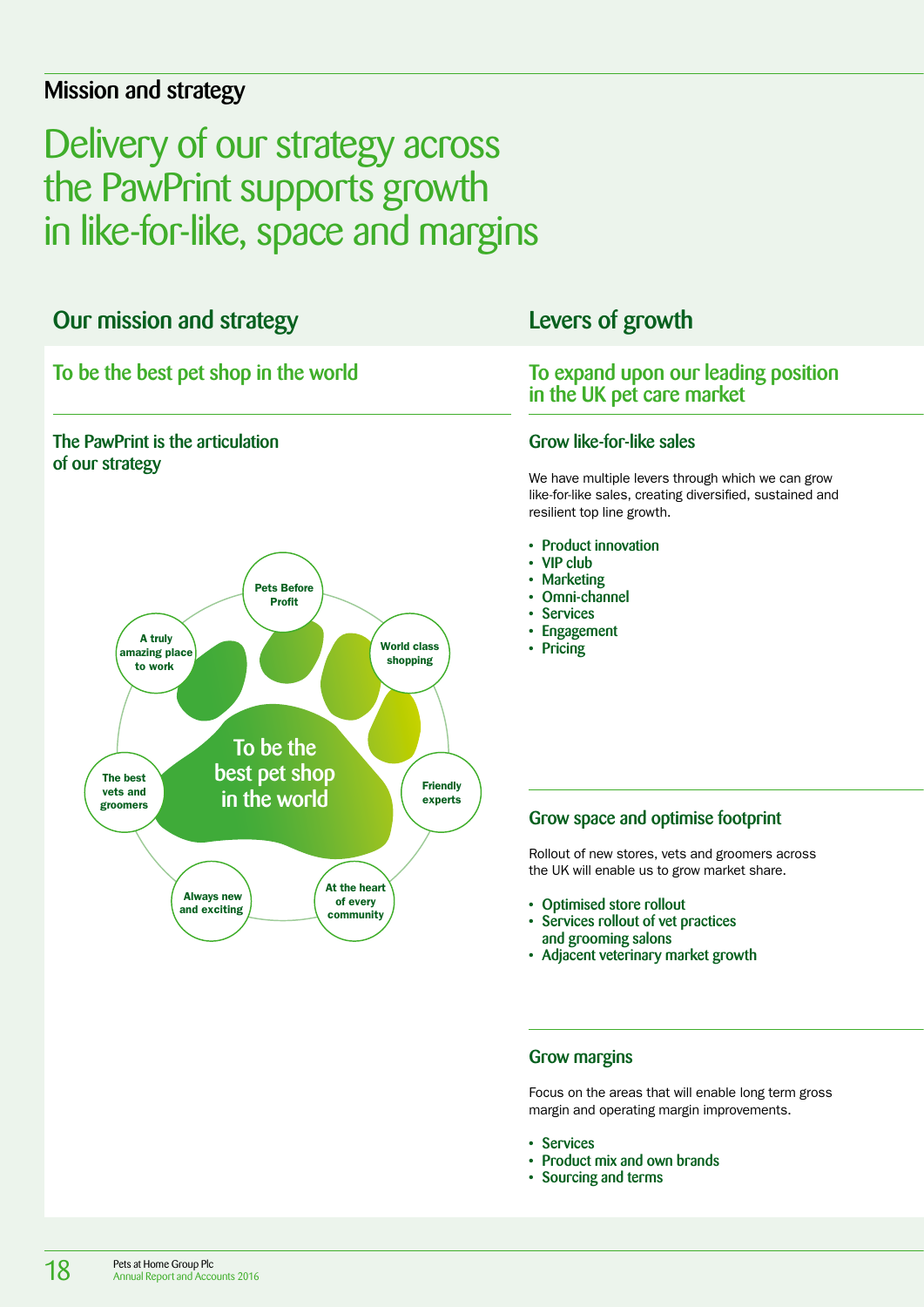# Mission and strategy

# Delivery of our strategy across the PawPrint supports growth in like-for-like, space and margins

# Our mission and strategy

# To be the best pet shop in the world





# Levers of growth

# To expand upon our leading position in the UK pet care market

## Grow like-for-like sales

We have multiple levers through which we can grow like-for-like sales, creating diversified, sustained and resilient top line growth.

- Product innovation
- VIP club
- Marketing
- Omni-channel
- Services
- Engagement
- Pricing

# Grow space and optimise footprint

Rollout of new stores, vets and groomers across the UK will enable us to grow market share.

- Optimised store rollout
- Services rollout of vet practices and grooming salons
- Adjacent veterinary market growth

## Grow margins

Focus on the areas that will enable long term gross margin and operating margin improvements.

- Services
- Product mix and own brands
- Sourcing and terms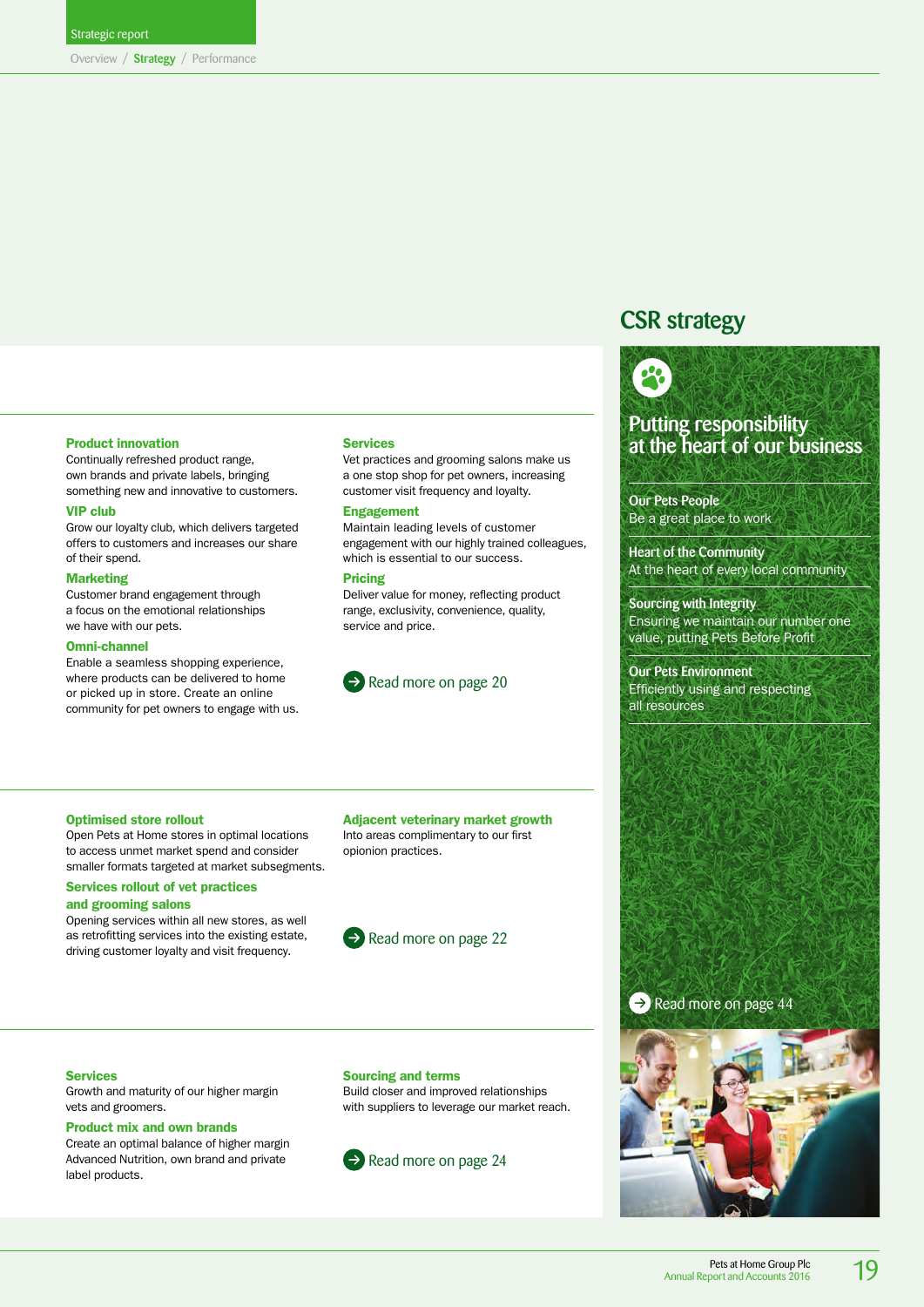# CSR strategy



# Putting responsibility at the heart of our business

Our Pets People Be a great place to work

Heart of the Community At the heart of every local community

Sourcing with Integrity Ensuring we maintain our number one value, putting Pets Before Profit

Our Pets Environment Efficiently using and respecting all resources

#### Product innovation

Continually refreshed product range, own brands and private labels, bringing something new and innovative to customers.

#### VIP club

Grow our loyalty club, which delivers targeted offers to customers and increases our share of their spend.

#### Marketing

Customer brand engagement through a focus on the emotional relationships we have with our pets.

#### Omni-channel

Enable a seamless shopping experience, where products can be delivered to home or picked up in store. Create an online community for pet owners to engage with us.

#### **Services**

Vet practices and grooming salons make us a one stop shop for pet owners, increasing customer visit frequency and loyalty.

#### Engagement

Maintain leading levels of customer engagement with our highly trained colleagues, which is essential to our success.

#### Pricing

Deliver value for money, reflecting product range, exclusivity, convenience, quality, service and price.



#### Optimised store rollout

Open Pets at Home stores in optimal locations to access unmet market spend and consider smaller formats targeted at market subsegments.

#### Services rollout of vet practices and grooming salons

Opening services within all new stores, as well as retrofitting services into the existing estate, driving customer loyalty and visit frequency.

#### Adjacent veterinary market growth

Into areas complimentary to our first opionion practices.



#### Services

Growth and maturity of our higher margin vets and groomers.

#### Product mix and own brands

Create an optimal balance of higher margin Advanced Nutrition, own brand and private label products.

#### Sourcing and terms

Build closer and improved relationships with suppliers to leverage our market reach.





 $\rightarrow$  Read more on page 44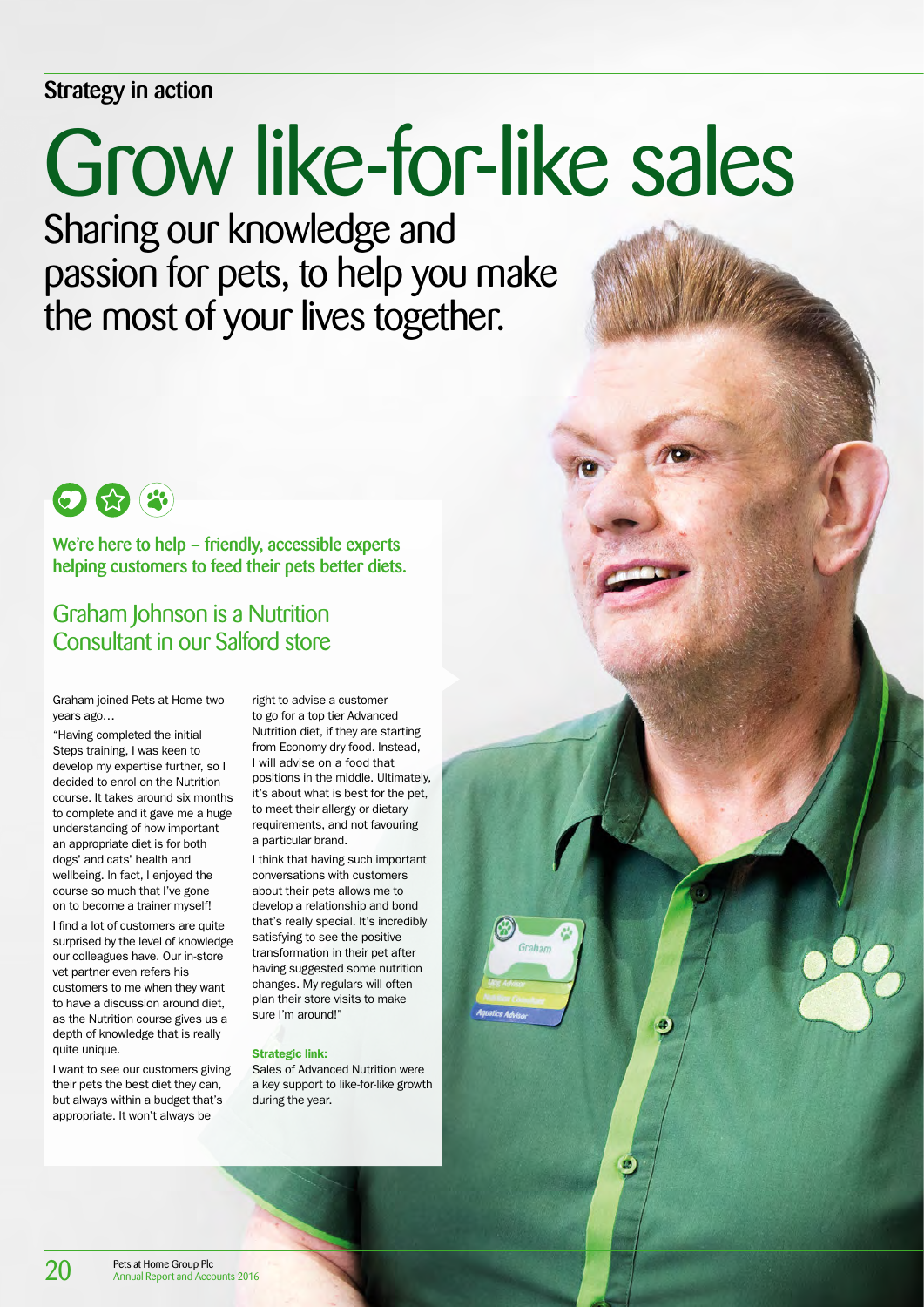# <span id="page-2-0"></span>Strategy in action

# Grow like-for-like sales

Sharing our knowledge and passion for pets, to help you make the most of your lives together.



We're here to help – friendly, accessible experts helping customers to feed their pets better diets.

# Graham Johnson is a Nutrition Consultant in our Salford store

Graham joined Pets at Home two years ago…

"Having completed the initial Steps training, I was keen to develop my expertise further, so I decided to enrol on the Nutrition course. It takes around six months to complete and it gave me a huge understanding of how important an appropriate diet is for both dogs' and cats' health and wellbeing. In fact, I enjoyed the course so much that I've gone on to become a trainer myself!

I find a lot of customers are quite surprised by the level of knowledge our colleagues have. Our in-store vet partner even refers his customers to me when they want to have a discussion around diet, as the Nutrition course gives us a depth of knowledge that is really quite unique.

I want to see our customers giving their pets the best diet they can, but always within a budget that's appropriate. It won't always be

right to advise a customer to go for a top tier Advanced Nutrition diet, if they are starting from Economy dry food. Instead, I will advise on a food that positions in the middle. Ultimately, it's about what is best for the pet, to meet their allergy or dietary requirements, and not favouring a particular brand.

I think that having such important conversations with customers about their pets allows me to develop a relationship and bond that's really special. It's incredibly satisfying to see the positive transformation in their pet after having suggested some nutrition changes. My regulars will often plan their store visits to make sure I'm around!"

#### Strategic link:

Sales of Advanced Nutrition were a key support to like-for-like growth during the year.

 $\bullet$ 

O

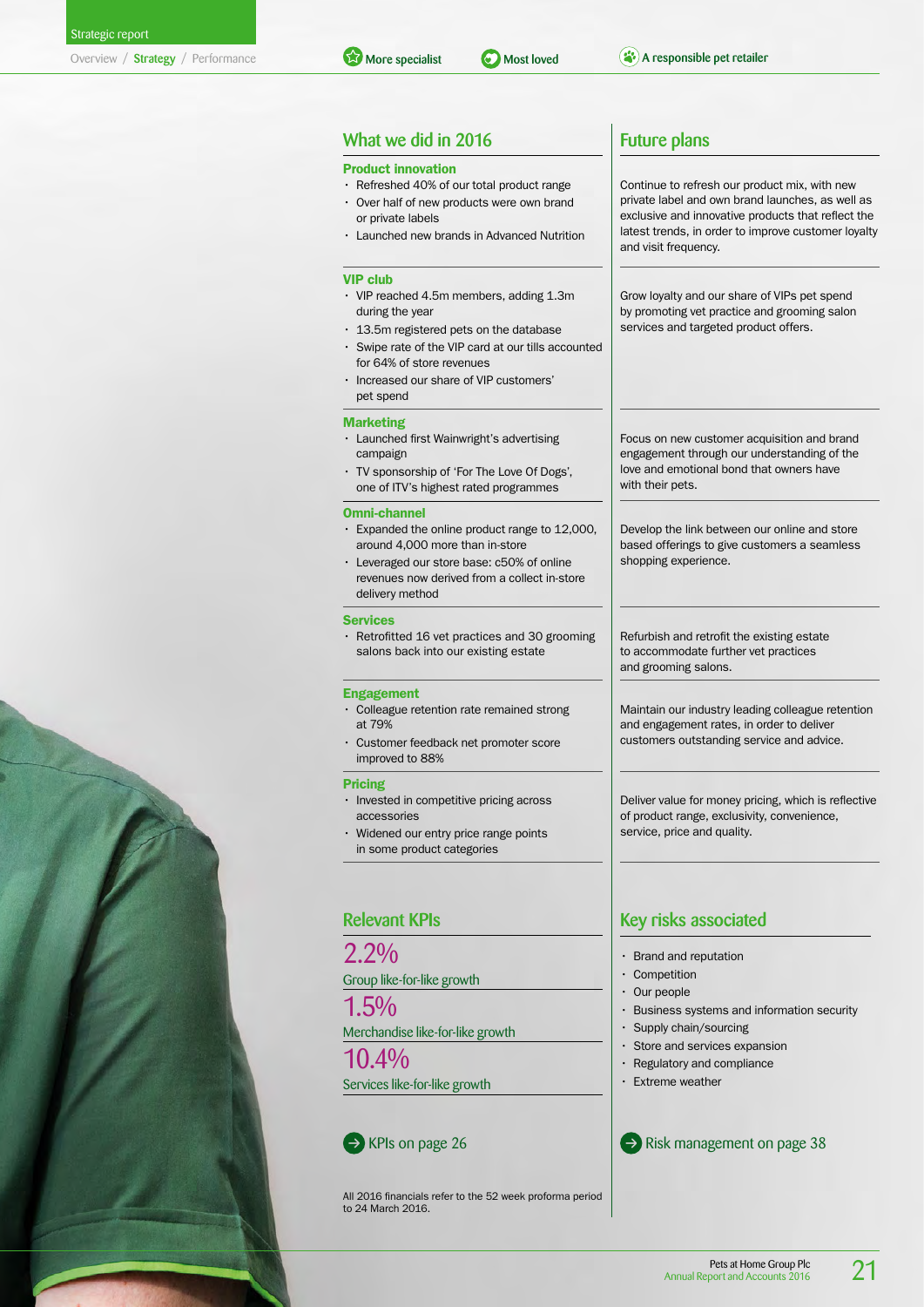### What we did in 2016 **Future plans**

#### Product innovation

- Refreshed 40% of our total product range • Over half of new products were own brand or private labels
- Launched new brands in Advanced Nutrition

#### VIP club

- VIP reached 4.5m members, adding 1.3m during the year
- 13.5m registered pets on the database
- Swipe rate of the VIP card at our tills accounted for 64% of store revenues
- Increased our share of VIP customers' pet spend

#### Marketing

- Launched first Wainwright's advertising campaign
- TV sponsorship of 'For The Love Of Dogs', one of ITV's highest rated programmes

#### Omni-channel

- Expanded the online product range to 12,000, around 4,000 more than in-store
- Leveraged our store base: c50% of online revenues now derived from a collect in-store delivery method

#### **Services**

• Retrofitted 16 vet practices and 30 grooming salons back into our existing estate

#### Engagement

- Colleague retention rate remained strong at 79%
- Customer feedback net promoter score improved to 88%

#### Pricing

- Invested in competitive pricing across accessories
- Widened our entry price range points in some product categories

#### Relevant KPIs

 $2.2\%$ 

#### Group like-for-like growth

1.5%

Merchandise like-for-like growth

10.4% Services like-for-like growth

All 2016 financials refer to the 52 week proforma period to 24 March 2016.

Continue to refresh our product mix, with new private label and own brand launches, as well as exclusive and innovative products that reflect the latest trends, in order to improve customer loyalty and visit frequency.

Grow loyalty and our share of VIPs pet spend by promoting vet practice and grooming salon services and targeted product offers.

Focus on new customer acquisition and brand engagement through our understanding of the love and emotional bond that owners have with their pets.

Develop the link between our online and store based offerings to give customers a seamless shopping experience.

Refurbish and retrofit the existing estate to accommodate further vet practices and grooming salons.

Maintain our industry leading colleague retention and engagement rates, in order to deliver customers outstanding service and advice.

Deliver value for money pricing, which is reflective of product range, exclusivity, convenience, service, price and quality.

# Key risks associated

- Brand and reputation
- Competition
- Our people
- Business systems and information security
- Supply chain/sourcing
- Store and services expansion
- Regulatory and compliance
- Extreme weather

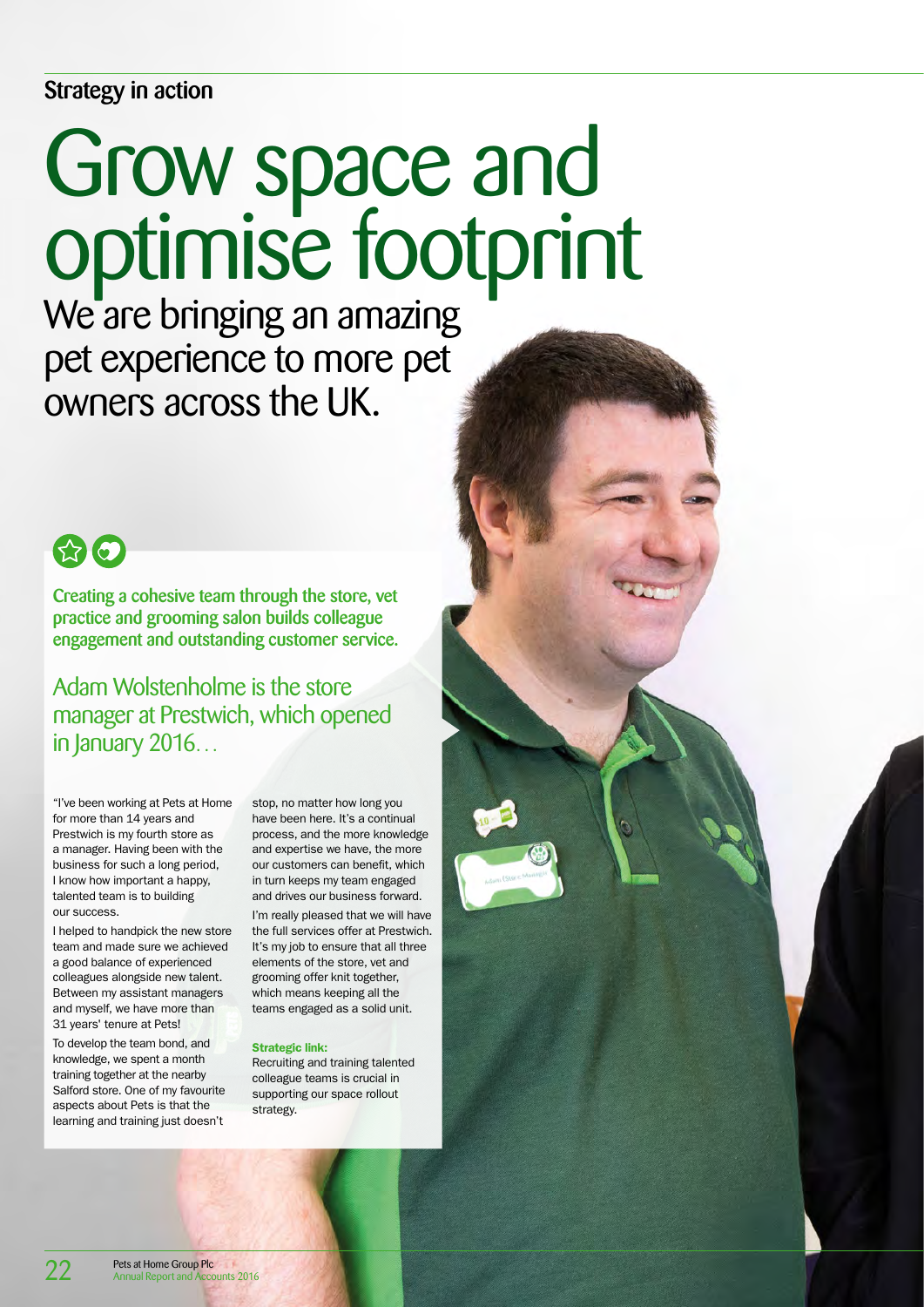# <span id="page-4-0"></span>Strategy in action

# Grow space and optimise footprint

We are bringing an amazing pet experience to more pet owners across the UK.



Creating a cohesive team through the store, vet practice and grooming salon builds colleague engagement and outstanding customer service.

Adam Wolstenholme is the store manager at Prestwich, which opened in January 2016…

"I've been working at Pets at Home for more than 14 years and Prestwich is my fourth store as a manager. Having been with the business for such a long period, I know how important a happy, talented team is to building our success.

I helped to handpick the new store team and made sure we achieved a good balance of experienced colleagues alongside new talent. Between my assistant managers and myself, we have more than 31 years' tenure at Pets!

To develop the team bond, and knowledge, we spent a month training together at the nearby Salford store. One of my favourite aspects about Pets is that the learning and training just doesn't

stop, no matter how long you have been here. It's a continual process, and the more knowledge and expertise we have, the more our customers can benefit, which in turn keeps my team engaged and drives our business forward. I'm really pleased that we will have the full services offer at Prestwich. It's my job to ensure that all three elements of the store, vet and grooming offer knit together, which means keeping all the teams engaged as a solid unit.

#### Strategic link:

Recruiting and training talented colleague teams is crucial in supporting our space rollout strategy.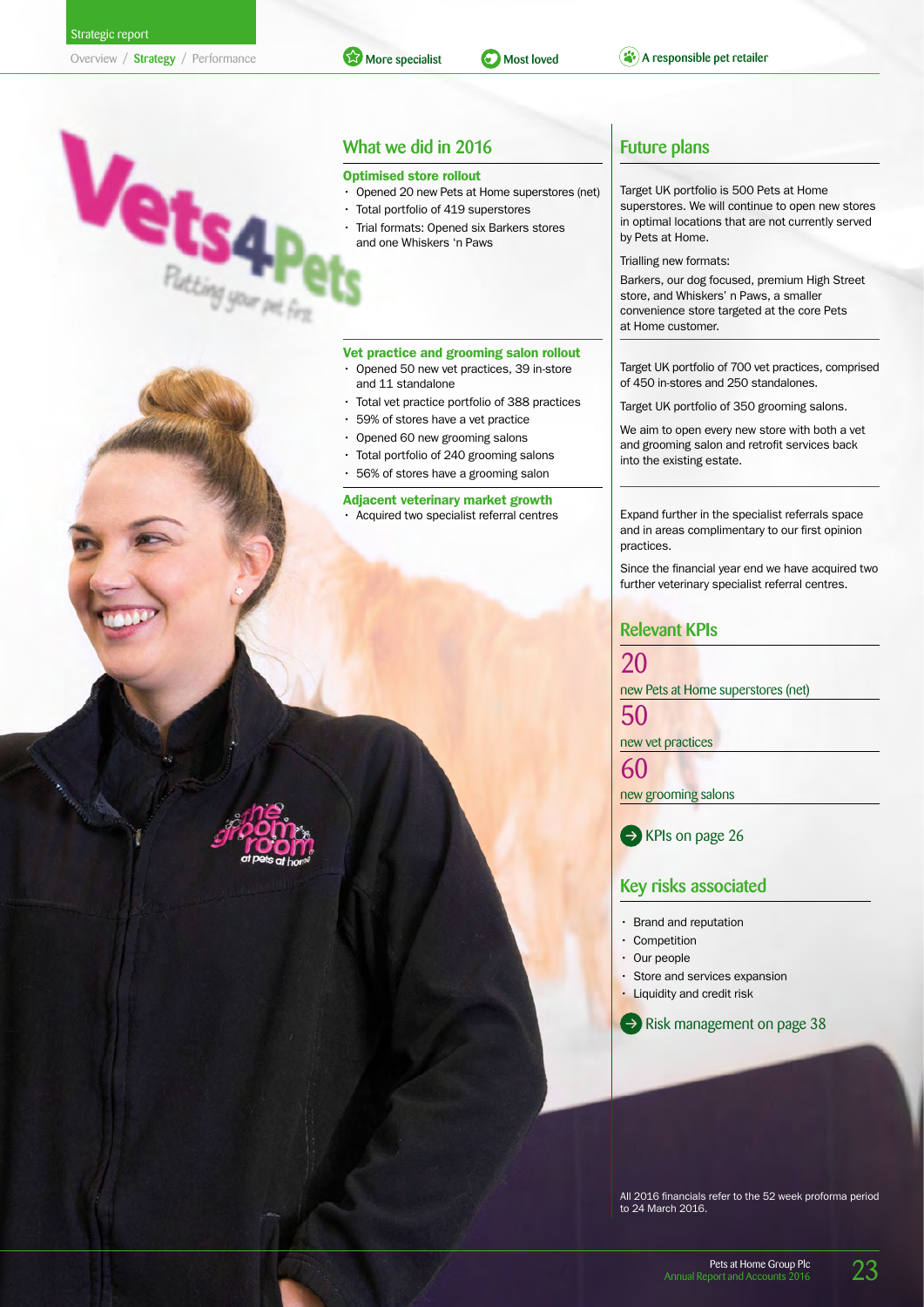

## What we did in 2016

#### Optimised store rollout

• Opened 20 new Pets at Home superstores (net)

More specialist **C** Most loved **A** responsible pet retailer

- Total portfolio of 419 superstores
- Trial formats: Opened six Barkers stores and one Whiskers 'n Paws

#### Vet practice and grooming salon rollout

- Opened 50 new vet practices, 39 in-store and 11 standalone
- Total vet practice portfolio of 388 practices
- 59% of stores have a vet practice
- Opened 60 new grooming salons
- Total portfolio of 240 grooming salons
- 56% of stores have a grooming salon

# Adjacent veterinary market growth

Target UK portfolio is 500 Pets at Home superstores. We will continue to open new stores in optimal locations that are not currently served by Pets at Home.

Trialling new formats:

Barkers, our dog focused, premium High Street store, and Whiskers' n Paws, a smaller convenience store targeted at the core Pets at Home customer.

Target UK portfolio of 700 vet practices, comprised of 450 in-stores and 250 standalones.

Target UK portfolio of 350 grooming salons.

We aim to open every new store with both a vet and grooming salon and retrofit services back into the existing estate.

• Acquired two specialist referral centres **Expand further in the specialist referrals space** and in areas complimentary to our first opinion practices.

> Since the financial year end we have acquired two further veterinary specialist referral centres.

#### Relevant KPIs

20 new Pets at Home superstores (net)

50

new vet practices

60 new grooming salons

RPIs on page 26

#### Key risks associated

- Brand and reputation
- **Competition**
- Our people
- Store and services expansion
- Liquidity and credit risk

 $\rightarrow$  Risk management on page 38

All 2016 financials refer to the 52 week proforma period to 24 March 2016.



Pets at Home Group Plc Annual Report and Accounts

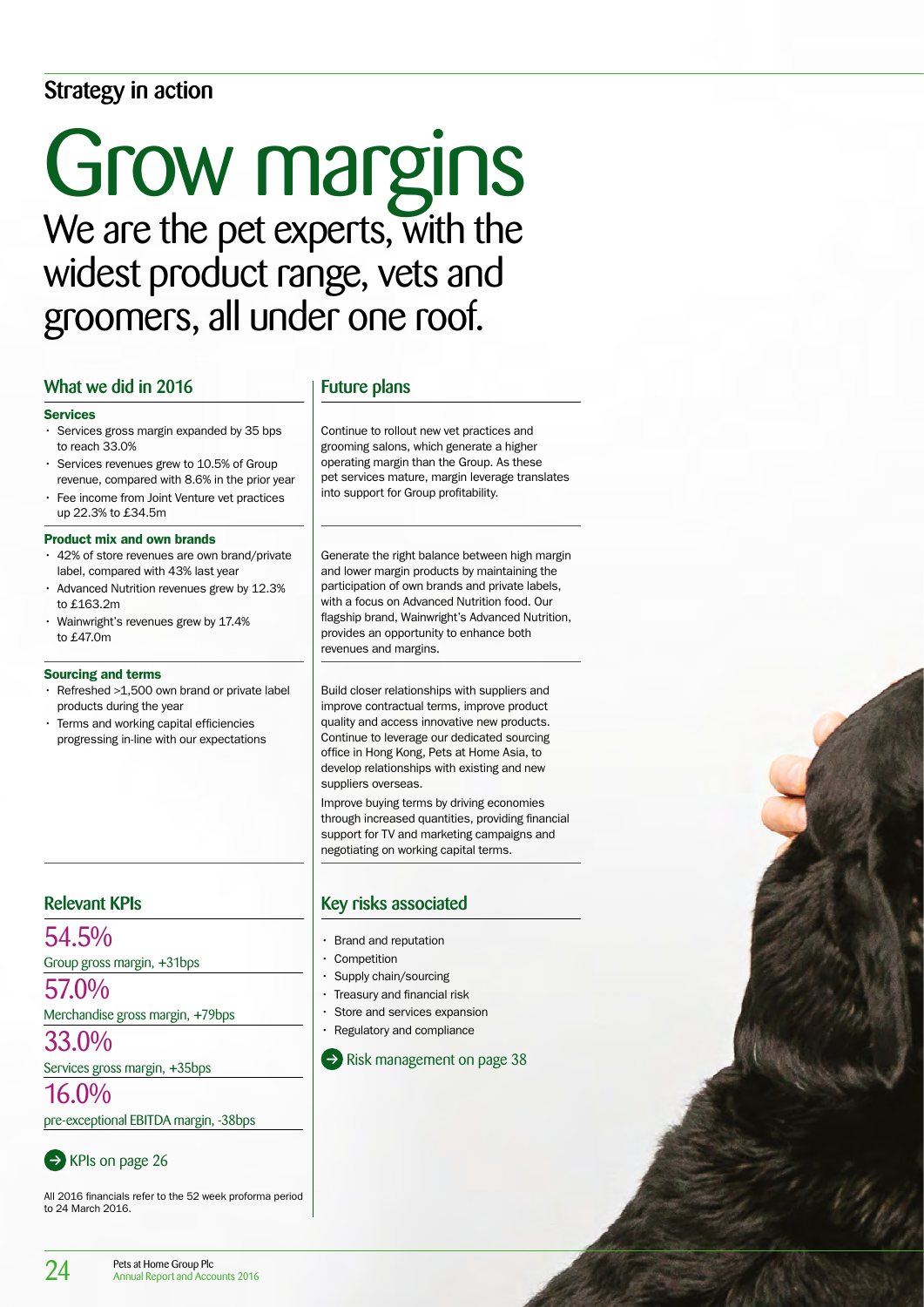# Strategy in action

# Grow margins We are the pet experts, with the widest product range, vets and groomers, all under one roof.

## What we did in 2016 Future plans

#### Services

- Services gross margin expanded by 35 bps to reach 33.0%
- Services revenues grew to 10.5% of Group revenue, compared with 8.6% in the prior year
- Fee income from Joint Venture vet practices up 22.3% to £34.5m

#### Product mix and own brands

- 42% of store revenues are own brand/private label, compared with 43% last year
- Advanced Nutrition revenues grew by 12.3% to £163.2m
- Wainwright's revenues grew by 17.4% to £47.0m

#### Sourcing and terms

- Refreshed >1,500 own brand or private label products during the year
- Terms and working capital efficiencies progressing in-line with our expectations

54.5%

Group gross margin, +31bps

57.0%

Merchandise gross margin, +79bps

33.0%

Services gross margin, +35bps

16.0%

pre-exceptional EBITDA margin, -38bps



All 2016 financials refer to the 52 week proforma period to 24 March 2016.

Continue to rollout new vet practices and grooming salons, which generate a higher operating margin than the Group. As these pet services mature, margin leverage translates into support for Group profitability.

Generate the right balance between high margin and lower margin products by maintaining the participation of own brands and private labels, with a focus on Advanced Nutrition food. Our flagship brand, Wainwright's Advanced Nutrition, provides an opportunity to enhance both revenues and margins.

Build closer relationships with suppliers and improve contractual terms, improve product quality and access innovative new products. Continue to leverage our dedicated sourcing office in Hong Kong, Pets at Home Asia, to develop relationships with existing and new suppliers overseas.

Improve buying terms by driving economies through increased quantities, providing financial support for TV and marketing campaigns and negotiating on working capital terms.

# Relevant KPIs Key risks associated

- Brand and reputation
- **Competition**
- Supply chain/sourcing
- Treasury and financial risk
- Store and services expansion
- Regulatory and compliance